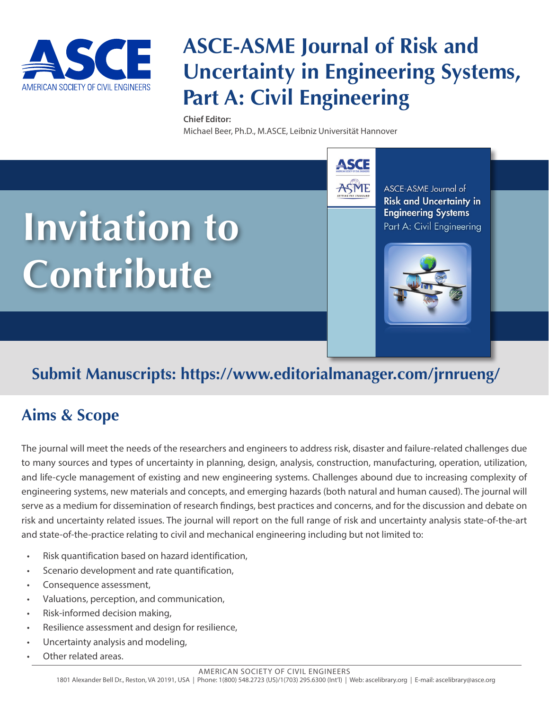

# **ASCE-ASME Journal of Risk and Uncertainty in Engineering Systems, Part A: Civil Engineering**

**ASCE** 

**ASME** 

#### **Chief Editor:**

Michael Beer, Ph.D., M.ASCE, Leibniz Universität Hannover



ASCE-ASME Journal of **Risk and Uncertainty in Engineering Systems** Part A: Civil Engineering



## **Submit Manuscripts: https://www.editorialmanager.com/jrnrueng/**

## **Aims & Scope**

The journal will meet the needs of the researchers and engineers to address risk, disaster and failure-related challenges due to many sources and types of uncertainty in planning, design, analysis, construction, manufacturing, operation, utilization, and life-cycle management of existing and new engineering systems. Challenges abound due to increasing complexity of engineering systems, new materials and concepts, and emerging hazards (both natural and human caused). The journal will serve as a medium for dissemination of research findings, best practices and concerns, and for the discussion and debate on risk and uncertainty related issues. The journal will report on the full range of risk and uncertainty analysis state-of-the-art and state-of-the-practice relating to civil and mechanical engineering including but not limited to:

- Risk quantification based on hazard identification,
- Scenario development and rate quantification,
- Consequence assessment,
- Valuations, perception, and communication,
- Risk-informed decision making,
- Resilience assessment and design for resilience,
- Uncertainty analysis and modeling,
- Other related areas.